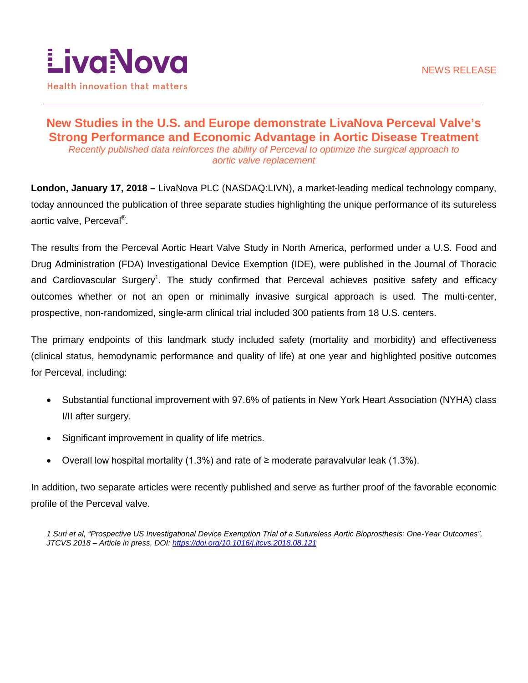

# **New Studies in the U.S. and Europe demonstrate LivaNova Perceval Valve's Strong Performance and Economic Advantage in Aortic Disease Treatment**  *Recently published data reinforces the ability of Perceval to optimize the surgical approach to aortic valve replacement*

**London, January 17, 2018 –** LivaNova PLC (NASDAQ:LIVN), a market-leading medical technology company, today announced the publication of three separate studies highlighting the unique performance of its sutureless aortic valve, Perceval®.

The results from the Perceval Aortic Heart Valve Study in North America, performed under a U.S. Food and Drug Administration (FDA) Investigational Device Exemption (IDE), were published in the Journal of Thoracic and Cardiovascular Surgery<sup>1</sup>. The study confirmed that Perceval achieves positive safety and efficacy outcomes whether or not an open or minimally invasive surgical approach is used. The multi-center, prospective, non-randomized, single-arm clinical trial included 300 patients from 18 U.S. centers.

The primary endpoints of this landmark study included safety (mortality and morbidity) and effectiveness (clinical status, hemodynamic performance and quality of life) at one year and highlighted positive outcomes for Perceval, including:

- Substantial functional improvement with 97.6% of patients in New York Heart Association (NYHA) class I/II after surgery.
- Significant improvement in quality of life metrics.
- Overall low hospital mortality (1.3%) and rate of ≥ moderate paravalvular leak (1.3%).

In addition, two separate articles were recently published and serve as further proof of the favorable economic profile of the Perceval valve.

*1 Suri et al, "Prospective US Investigational Device Exemption Trial of a Sutureless Aortic Bioprosthesis: One-Year Outcomes", JTCVS 2018 – Article in press, DOI:<https://doi.org/10.1016/j.jtcvs.2018.08.121>*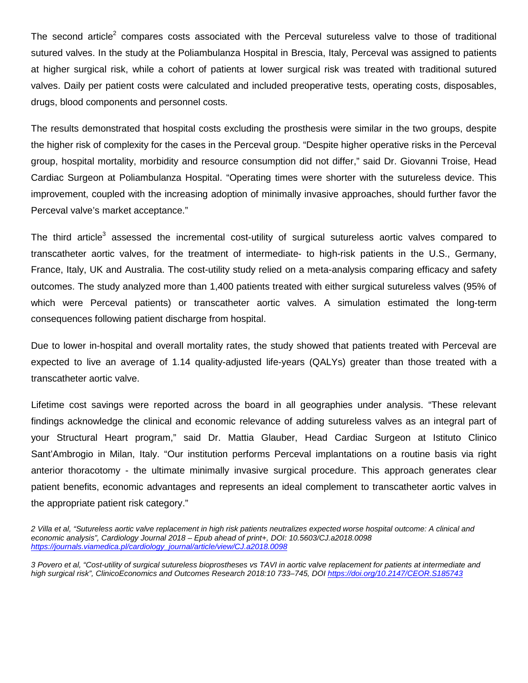The second article<sup>2</sup> compares costs associated with the Perceval sutureless valve to those of traditional sutured valves. In the study at the Poliambulanza Hospital in Brescia, Italy, Perceval was assigned to patients at higher surgical risk, while a cohort of patients at lower surgical risk was treated with traditional sutured valves. Daily per patient costs were calculated and included preoperative tests, operating costs, disposables, drugs, blood components and personnel costs.

The results demonstrated that hospital costs excluding the prosthesis were similar in the two groups, despite the higher risk of complexity for the cases in the Perceval group. "Despite higher operative risks in the Perceval group, hospital mortality, morbidity and resource consumption did not differ," said Dr. Giovanni Troise, Head Cardiac Surgeon at Poliambulanza Hospital. "Operating times were shorter with the sutureless device. This improvement, coupled with the increasing adoption of minimally invasive approaches, should further favor the Perceval valve's market acceptance."

The third article<sup>3</sup> assessed the incremental cost-utility of surgical sutureless aortic valves compared to transcatheter aortic valves, for the treatment of intermediate- to high-risk patients in the U.S., Germany, France, Italy, UK and Australia. The cost-utility study relied on a meta-analysis comparing efficacy and safety outcomes. The study analyzed more than 1,400 patients treated with either surgical sutureless valves (95% of which were Perceval patients) or transcatheter aortic valves. A simulation estimated the long-term consequences following patient discharge from hospital.

Due to lower in-hospital and overall mortality rates, the study showed that patients treated with Perceval are expected to live an average of 1.14 quality-adjusted life-years (QALYs) greater than those treated with a transcatheter aortic valve.

Lifetime cost savings were reported across the board in all geographies under analysis. "These relevant findings acknowledge the clinical and economic relevance of adding sutureless valves as an integral part of your Structural Heart program," said Dr. Mattia Glauber, Head Cardiac Surgeon at Istituto Clinico Sant'Ambrogio in Milan, Italy. "Our institution performs Perceval implantations on a routine basis via right anterior thoracotomy - the ultimate minimally invasive surgical procedure. This approach generates clear patient benefits, economic advantages and represents an ideal complement to transcatheter aortic valves in the appropriate patient risk category."

*3 Povero et al, "Cost-utility of surgical sutureless bioprostheses vs TAVI in aortic valve replacement for patients at intermediate and high surgical risk", ClinicoEconomics and Outcomes Research 2018:10 733–745, DOI<https://doi.org/10.2147/CEOR.S185743>*

*<sup>2</sup> Villa et al, "Sutureless aortic valve replacement in high risk patients neutralizes expected worse hospital outcome: A clinical and economic analysis", Cardiology Journal 2018 – Epub ahead of print+, DOI: 10.5603/CJ.a2018.0098 [https://journals.viamedica.pl/cardiology\\_journal/article/view/CJ.a2018.0098](https://journals.viamedica.pl/cardiology_journal/article/view/CJ.a2018.0098)*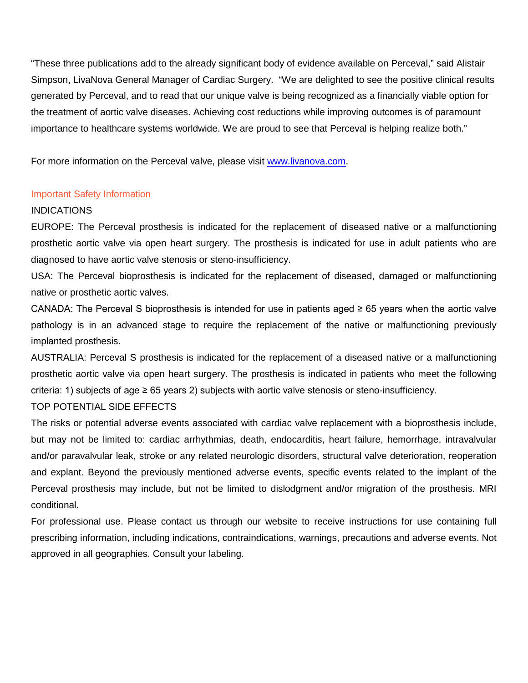"These three publications add to the already significant body of evidence available on Perceval," said Alistair Simpson, LivaNova General Manager of Cardiac Surgery. "We are delighted to see the positive clinical results generated by Perceval, and to read that our unique valve is being recognized as a financially viable option for the treatment of aortic valve diseases. Achieving cost reductions while improving outcomes is of paramount importance to healthcare systems worldwide. We are proud to see that Perceval is helping realize both."

For more information on the Perceval valve, please visit [www.livanova.com.](http://www.livanova.com/)

## Important Safety Information

## INDICATIONS

EUROPE: The Perceval prosthesis is indicated for the replacement of diseased native or a malfunctioning prosthetic aortic valve via open heart surgery. The prosthesis is indicated for use in adult patients who are diagnosed to have aortic valve stenosis or steno-insufficiency.

USA: The Perceval bioprosthesis is indicated for the replacement of diseased, damaged or malfunctioning native or prosthetic aortic valves.

CANADA: The Perceval S bioprosthesis is intended for use in patients aged ≥ 65 years when the aortic valve pathology is in an advanced stage to require the replacement of the native or malfunctioning previously implanted prosthesis.

AUSTRALIA: Perceval S prosthesis is indicated for the replacement of a diseased native or a malfunctioning prosthetic aortic valve via open heart surgery. The prosthesis is indicated in patients who meet the following criteria: 1) subjects of age  $\geq 65$  years 2) subjects with aortic valve stenosis or steno-insufficiency. TOP POTENTIAL SIDE EFFECTS

# The risks or potential adverse events associated with cardiac valve replacement with a bioprosthesis include, but may not be limited to: cardiac arrhythmias, death, endocarditis, heart failure, hemorrhage, intravalvular and/or paravalvular leak, stroke or any related neurologic disorders, structural valve deterioration, reoperation and explant. Beyond the previously mentioned adverse events, specific events related to the implant of the Perceval prosthesis may include, but not be limited to dislodgment and/or migration of the prosthesis. MRI conditional.

For professional use. Please contact us through our website to receive instructions for use containing full prescribing information, including indications, contraindications, warnings, precautions and adverse events. Not approved in all geographies. Consult your labeling.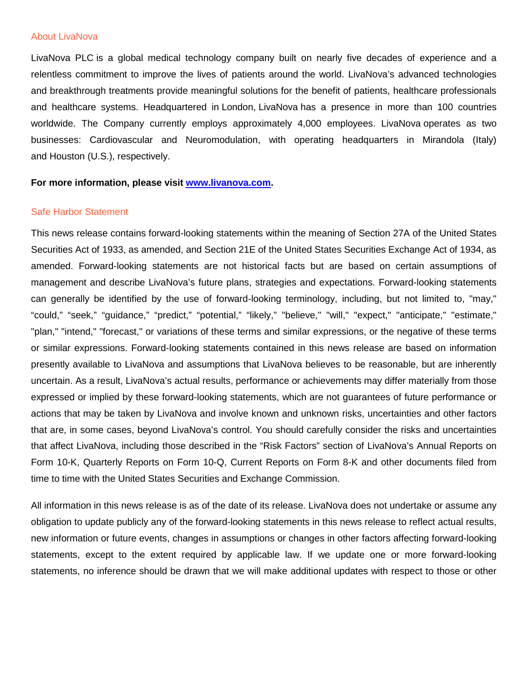#### About LivaNova

LivaNova PLC is a global medical technology company built on nearly five decades of experience and a relentless commitment to improve the lives of patients around the world. LivaNova's advanced technologies and breakthrough treatments provide meaningful solutions for the benefit of patients, healthcare professionals and healthcare systems. Headquartered in London, LivaNova has a presence in more than 100 countries worldwide. The Company currently employs approximately 4,000 employees. LivaNova operates as two businesses: Cardiovascular and Neuromodulation, with operating headquarters in Mirandola (Italy) and Houston (U.S.), respectively.

### **For more information, please visit [www.livanova.com.](http://www.livanova.com/)**

#### Safe Harbor Statement

This news release contains forward-looking statements within the meaning of Section 27A of the United States Securities Act of 1933, as amended, and Section 21E of the United States Securities Exchange Act of 1934, as amended. Forward-looking statements are not historical facts but are based on certain assumptions of management and describe LivaNova's future plans, strategies and expectations. Forward-looking statements can generally be identified by the use of forward-looking terminology, including, but not limited to, "may," "could," "seek," "guidance," "predict," "potential," "likely," "believe," "will," "expect," "anticipate," "estimate," "plan," "intend," "forecast," or variations of these terms and similar expressions, or the negative of these terms or similar expressions. Forward-looking statements contained in this news release are based on information presently available to LivaNova and assumptions that LivaNova believes to be reasonable, but are inherently uncertain. As a result, LivaNova's actual results, performance or achievements may differ materially from those expressed or implied by these forward-looking statements, which are not guarantees of future performance or actions that may be taken by LivaNova and involve known and unknown risks, uncertainties and other factors that are, in some cases, beyond LivaNova's control. You should carefully consider the risks and uncertainties that affect LivaNova, including those described in the "Risk Factors" section of LivaNova's Annual Reports on Form 10-K, Quarterly Reports on Form 10-Q, Current Reports on Form 8-K and other documents filed from time to time with the United States Securities and Exchange Commission.

All information in this news release is as of the date of its release. LivaNova does not undertake or assume any obligation to update publicly any of the forward-looking statements in this news release to reflect actual results, new information or future events, changes in assumptions or changes in other factors affecting forward-looking statements, except to the extent required by applicable law. If we update one or more forward-looking statements, no inference should be drawn that we will make additional updates with respect to those or other